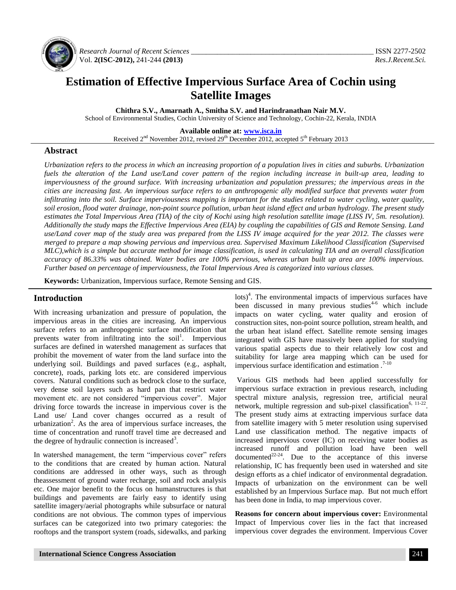

*Research Journal of Recent Sciences \_\_\_\_\_\_\_\_\_\_\_\_\_\_\_\_\_\_\_\_\_\_\_\_\_\_\_\_\_\_\_\_\_\_\_\_\_\_\_\_\_\_\_\_\_\_\_\_\_* ISSN 2277-2502 Vol. **2(ISC-2012),** 241-244 **(2013)** *Res.J.Recent.Sci.*

# **Estimation of Effective Impervious Surface Area of Cochin using Satellite Images**

**Chithra S.V., Amarnath A., Smitha S.V. and Harindranathan Nair M.V.**

School of Environmental Studies, Cochin University of Science and Technology, Cochin-22, Kerala, INDIA

**Available online at: [www.isca.in](http://www.isca.in/)**

Received 2<sup>nd</sup> November 2012, revised 29<sup>th</sup> December 2012, accepted 5<sup>th</sup> February 2013

### **Abstract**

*Urbanization refers to the process in which an increasing proportion of a population lives in cities and suburbs. Urbanization fuels the alteration of the Land use/Land cover pattern of the region including increase in built-up area, leading to imperviousness of the ground surface. With increasing urbanization and population pressures; the impervious areas in the cities are increasing fast. An impervious surface refers to an anthropogenic ally modified surface that prevents water from infiltrating into the soil. Surface imperviousness mapping is important for the studies related to water cycling, water quality, soil erosion, flood water drainage, non-point source pollution, urban heat island effect and urban hydrology. The present study estimates the Total Impervious Area (TIA) of the city of Kochi using high resolution satellite image (LISS IV, 5m. resolution). Additionally the study maps the Effective Impervious Area (EIA) by coupling the capabilities of GIS and Remote Sensing. Land use/Land cover map of the study area was prepared from the LISS IV image acquired for the year 2012. The classes were merged to prepare a map showing pervious and impervious area. Supervised Maximum Likelihood Classification (Supervised MLC),which is a simple but accurate method for image classification, is used in calculating TIA and an overall classification accuracy of 86.33% was obtained. Water bodies are 100% pervious, whereas urban built up area are 100% impervious. Further based on percentage of imperviousness, the Total Impervious Area is categorized into various classes.*

**Keywords:** Urbanization, Impervious surface, Remote Sensing and GIS.

## **Introduction**

With increasing urbanization and pressure of population, the impervious areas in the cities are increasing. An impervious surface refers to an anthropogenic surface modification that prevents water from infiltrating into the soil<sup>1</sup>. Impervious surfaces are defined in watershed management as surfaces that prohibit the movement of water from the land surface into the underlying soil. Buildings and paved surfaces (e.g., asphalt, concrete), roads, parking lots etc. are considered impervious covers. Natural conditions such as bedrock close to the surface, very dense soil layers such as hard pan that restrict water movement etc. are not considered "impervious cover". Major driving force towards the increase in impervious cover is the Land use/ Land cover changes occurred as a result of urbanization<sup>2</sup>. As the area of impervious surface increases, the time of concentration and runoff travel time are decreased and the degree of hydraulic connection is increased<sup>3</sup>.

In watershed management, the term "impervious cover" refers to the conditions that are created by human action. Natural conditions are addressed in other ways, such as through theassessment of ground water recharge, soil and rock analysis etc. One major benefit to the focus on humanstructures is that buildings and pavements are fairly easy to identify using satellite imagery/aerial photographs while subsurface or natural conditions are not obvious. The common types of impervious surfaces can be categorized into two primary categories: the rooftops and the transport system (roads, sidewalks, and parking

lots)<sup>4</sup>. The environmental impacts of impervious surfaces have been discussed in many previous studies<sup>4-6</sup> which include impacts on water cycling, water quality and erosion of construction sites, non-point source pollution, stream health, and the urban heat island effect. Satellite remote sensing images integrated with GIS have massively been applied for studying various spatial aspects due to their relatively low cost and suitability for large area mapping which can be used for impervious surface identification and estimation .<sup>7-10</sup>

Various GIS methods had been applied successfully for impervious surface extraction in previous research, including spectral mixture analysis, regression tree, artificial neural network, multiple regression and sub-pixel classification<sup>6,  $11-22$ </sup>. The present study aims at extracting impervious surface data from satellite imagery with 5 meter resolution using supervised Land use classification method. The negative impacts of increased impervious cover (IC) on receiving water bodies as increased runoff and pollution load have been well documented<sup>22-24</sup>. Due to the acceptance of this inverse relationship, IC has frequently been used in watershed and site design efforts as a chief indicator of environmental degradation. Impacts of urbanization on the environment can be well established by an Impervious Surface map. But not much effort has been done in India, to map impervious cover.

**Reasons for concern about impervious cover:** Environmental Impact of Impervious cover lies in the fact that increased impervious cover degrades the environment. Impervious Cover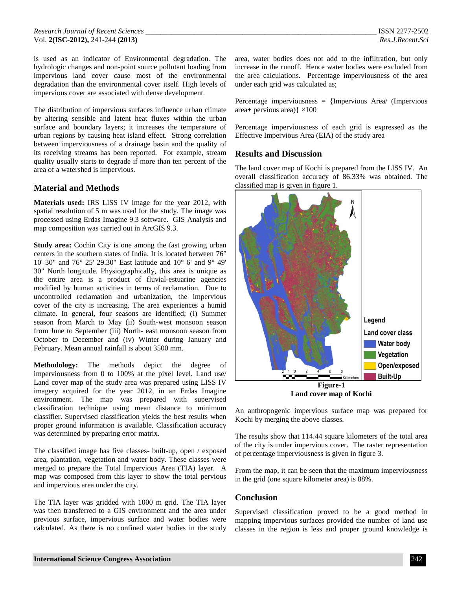is used as an indicator of Environmental degradation. The hydrologic changes and non-point source pollutant loading from impervious land cover cause most of the environmental degradation than the environmental cover itself. High levels of impervious cover are associated with dense development.

The distribution of impervious surfaces influence urban climate by altering sensible and latent heat fluxes within the urban surface and boundary layers; it increases the temperature of urban regions by causing heat island effect. Strong correlation between imperviousness of a drainage basin and the quality of its receiving streams has been reported. For example, stream quality usually starts to degrade if more than ten percent of the area of a watershed is impervious.

## **Material and Methods**

**Materials used:** IRS LISS IV image for the year 2012, with spatial resolution of 5 m was used for the study. The image was processed using Erdas Imagine 9.3 software. GIS Analysis and map composition was carried out in ArcGIS 9.3.

**Study area:** Cochin City is one among the fast growing urban centers in the southern states of India. It is located between 76° 10' 30" and 76° 25' 29.30" East latitude and 10° 6' and 9° 49' 30" North longitude. Physiographically, this area is unique as the entire area is a product of fluvial-estuarine agencies modified by human activities in terms of reclamation. Due to uncontrolled reclamation and urbanization, the impervious cover of the city is increasing. The area experiences a humid climate. In general, four seasons are identified; (i) Summer season from March to May (ii) South-west monsoon season from June to September (iii) North- east monsoon season from October to December and (iv) Winter during January and February. Mean annual rainfall is about 3500 mm.

**Methodology:** The methods depict the degree of imperviousness from 0 to 100% at the pixel level. Land use/ Land cover map of the study area was prepared using LISS IV imagery acquired for the year 2012, in an Erdas Imagine environment. The map was prepared with supervised classification technique using mean distance to minimum classifier. Supervised classification yields the best results when proper ground information is available. Classification accuracy was determined by preparing error matrix.

The classified image has five classes- built-up, open / exposed area, plantation, vegetation and water body. These classes were merged to prepare the Total Impervious Area (TIA) layer. A map was composed from this layer to show the total pervious and impervious area under the city.

The TIA layer was gridded with 1000 m grid. The TIA layer was then transferred to a GIS environment and the area under previous surface, impervious surface and water bodies were calculated. As there is no confined water bodies in the study

area, water bodies does not add to the infiltration, but only increase in the runoff. Hence water bodies were excluded from the area calculations. Percentage imperviousness of the area under each grid was calculated as;

Percentage imperviousness = {Impervious Area/ (Impervious area+ pervious area) $\} \times 100$ 

Percentage imperviousness of each grid is expressed as the Effective Impervious Area (EIA) of the study area

#### **Results and Discussion**

The land cover map of Kochi is prepared from the LISS IV. An overall classification accuracy of 86.33% was obtained. The classified map is given in figure 1.



An anthropogenic impervious surface map was prepared for Kochi by merging the above classes.

The results show that 114.44 square kilometers of the total area of the city is under impervious cover. The raster representation of percentage imperviousness is given in figure 3.

From the map, it can be seen that the maximum imperviousness in the grid (one square kilometer area) is 88%.

#### **Conclusion**

Supervised classification proved to be a good method in mapping impervious surfaces provided the number of land use classes in the region is less and proper ground knowledge is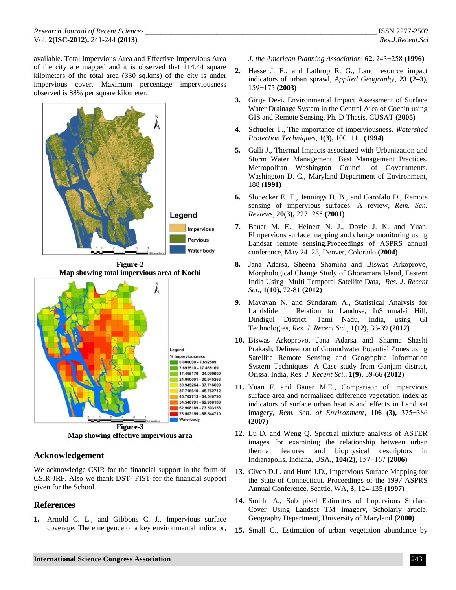available. Total Impervious Area and Effective Impervious Area of the city are mapped and it is observed that 114.44 square kilometers of the total area (330 sq.kms) of the city is under impervious cover. Maximum percentage imperviousness observed is 88% per square kilometer.





**Map showing effective impervious area**

## **Acknowledgement**

We acknowledge CSIR for the financial support in the form of CSIR-JRF. Also we thank DST- FIST for the financial support given for the School.

## **References**

**1.** Arnold C. L., and Gibbons C. J., Impervious surface coverage, The emergence of a key environmental indicator, *J. the American Planning Association*, **62,** 243−258 **(1996)**

- **2.** Hasse J. E., and Lathrop R. G., Land resource impact indicators of urban sprawl, *Applied Geography*, **23 (2–3),** 159−175 **(2003)**
- **3.** Girija Devi, Environmental Impact Assessment of Surface Water Drainage System in the Central Area of Cochin using GIS and Remote Sensing, Ph. D Thesis, CUSAT **(2005)**
- **4.** Schueler T., The importance of imperviousness. *Watershed Protection Techniques*, **1(3),** 100−111 **(1994)**
- **5.** Galli J., Thermal Impacts associated with Urbanization and Storm Water Management, Best Management Practices, Metropolitan Washington Council of Governments. Washington D. C., Maryland Department of Environment, 188 **(1991)**
- **6.** Slonecker E. T., Jennings D. B., and Garofalo D., Remote sensing of impervious surfaces: A review*, Rem. Sen. Reviews*, **20(3),** 227−255 **(2001)**
- **7.** Bauer M. E., Heinert N. J., Doyle J. K. and Yuan, FImpervious surface mapping and change monitoring using Landsat remote sensing.Proceedings of ASPRS annual conference, May 24–28, Denver, Colorado **(2004)**
- **8.** Jana Adarsa, Sheena Shamina and Biswas Arkoprovo, Morphological Change Study of Ghoramara Island, Eastern India Using Multi Temporal Satellite Data, *Res. J. Recent Sci*., **1(10),** 72-81 **(2012)**
- **9.** Mayavan N. and Sundaram A., Statistical Analysis for Landslide in Relation to Landuse, InSirumalai Hill, Dindigul District, Tami Nadu, India, using GI Technologies, *Res. J. Recent Sci*., **1(12),** 36-39 **(2012)**
- **10.** Biswas Arkoprovo, Jana Adarsa and Sharma Shashi Prakash, Delineation of Groundwater Potential Zones using Satellite Remote Sensing and Geographic Information System Techniques: A Case study from Ganjam district, Orissa, India, Res*. J. Recent Sci*., **1(9),** 59-66 **(2012)**
- **11.** Yuan F. and Bauer M.E., Comparison of impervious surface area and normalized difference vegetation index as indicators of surface urban heat island effects in Land sat imagery, *Rem. Sen. of Environment*, **106 (3),** 375−386 **(2007)**
- **12.** Lu D. and Weng Q. Spectral mixture analysis of ASTER images for examining the relationship between urban thermal features and biophysical descriptors in Indianapolis, Indiana, USA., **104(2),** 157−167 **(2006)**
- **13.** Civco D.L. and Hurd J.D., Impervious Surface Mapping for the State of Connecticut. Proceedings of the 1997 ASPRS Annual Conference, Seattle, WA, **3,** 124-135 **(1997)**
- **14.** Smith. A., Sub pixel Estimates of Impervious Surface Cover Using Landsat TM Imagery, Scholarly article, Geography Department, University of Maryland **(2000)**
- **15.** Small C., Estimation of urban vegetation abundance by